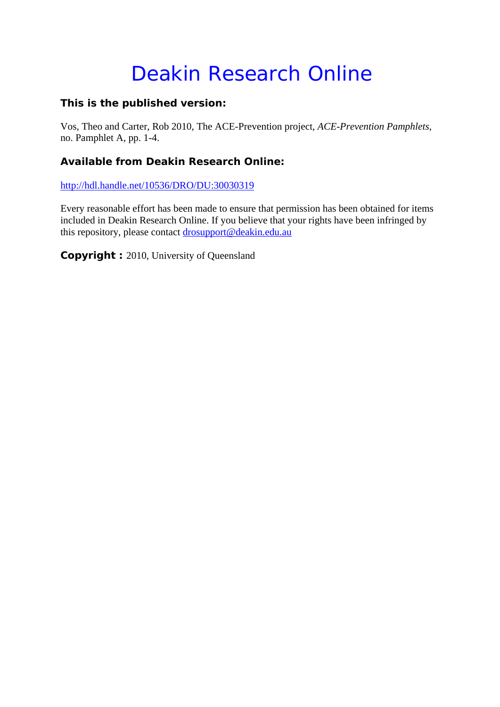# Deakin Research Online

### **This is the published version:**

Vos, Theo and Carter, Rob 2010, The ACE-Prevention project*, ACE-Prevention Pamphlets*, no. Pamphlet A, pp. 1-4.

### **Available from Deakin Research Online:**

http://hdl.handle.net/10536/DRO/DU:30030319

Every reasonable effort has been made to ensure that permission has been obtained for items included in Deakin Research Online. If you believe that your rights have been infringed by this repository, please contact drosupport@deakin.edu.au

**Copyright :** 2010, University of Queensland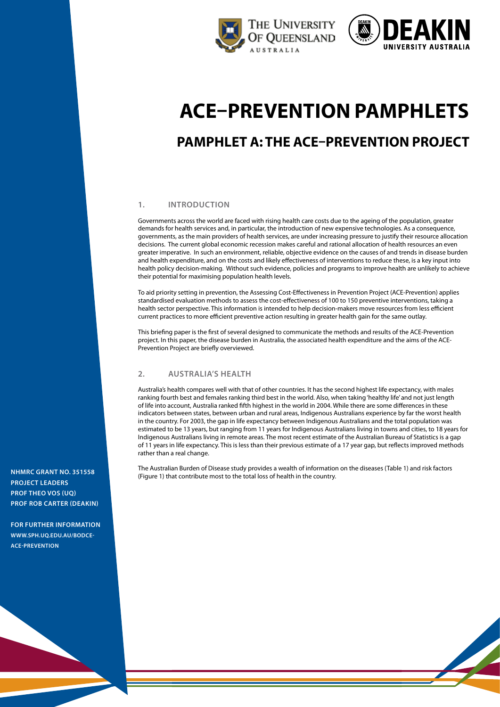



# **ACE–Prevention pamphlets**

## **Pamphlet A: The ACE–Prevention Project**

#### **1. Introduction**

Governments across the world are faced with rising health care costs due to the ageing of the population, greater demands for health services and, in particular, the introduction of new expensive technologies. As a consequence, governments, as the main providers of health services, are under increasing pressure to justify their resource allocation decisions. The current global economic recession makes careful and rational allocation of health resources an even greater imperative. In such an environment, reliable, objective evidence on the causes of and trends in disease burden and health expenditure, and on the costs and likely effectiveness of interventions to reduce these, is a key input into health policy decision-making. Without such evidence, policies and programs to improve health are unlikely to achieve their potential for maximising population health levels.

To aid priority setting in prevention, the Assessing Cost-Effectiveness in Prevention Project (ACE-Prevention) applies standardised evaluation methods to assess the cost-effectiveness of 100 to 150 preventive interventions, taking a health sector perspective. This information is intended to help decision-makers move resources from less efficient current practices to more efficient preventive action resulting in greater health gain for the same outlay.

This briefing paper is the first of several designed to communicate the methods and results of the ACE-Prevention project. In this paper, the disease burden in Australia, the associated health expenditure and the aims of the ACE-Prevention Project are briefly overviewed.

#### **2. australia's health**

Australia's health compares well with that of other countries. It has the second highest life expectancy, with males ranking fourth best and females ranking third best in the world. Also, when taking 'healthy life' and not just length of life into account, Australia ranked fifth highest in the world in 2004. While there are some differences in these indicators between states, between urban and rural areas, Indigenous Australians experience by far the worst health in the country. For 2003, the gap in life expectancy between Indigenous Australians and the total population was estimated to be 13 years, but ranging from 11 years for Indigenous Australians living in towns and cities, to 18 years for Indigenous Australians living in remote areas. The most recent estimate of the Australian Bureau of Statistics is a gap of 11 years in life expectancy. This is less than their previous estimate of a 17 year gap, but reflects improved methods rather than a real change.

The Australian Burden of Disease study provides a wealth of information on the diseases (Table 1) and risk factors (Figure 1) that contribute most to the total loss of health in the country.<br>Triqure 1) that contribute most to the total loss of health in the country.

**project leaders Prof Theo Vos (UQ) Prof Rob Carter (Deakin)**

**For further information www.sph.uq.edu.au/bodceace-prevention**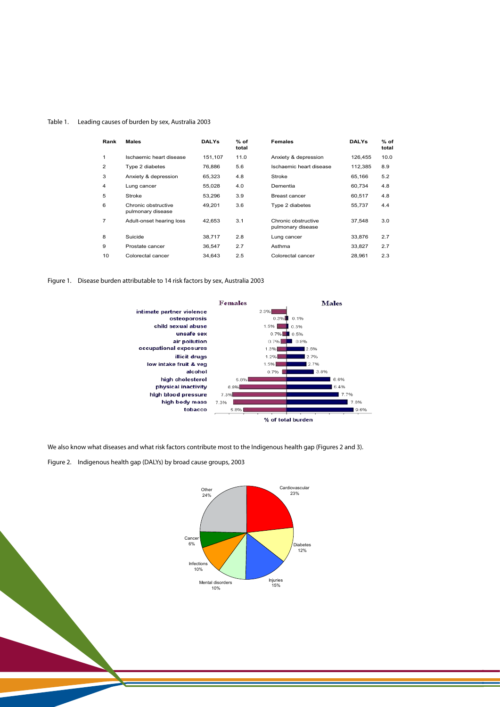## Table 1. Leading causes of burden by sex, Australia 2003 Table 1. Leading causes of burden by sex, Australia 2003

| Rank | <b>Males</b>                             | <b>DALYs</b> | $%$ of<br>total | <b>Females</b>                           | <b>DALYs</b> | $%$ of<br>total |
|------|------------------------------------------|--------------|-----------------|------------------------------------------|--------------|-----------------|
| 1    | Ischaemic heart disease                  | 151,107      | 11.0            | Anxiety & depression                     | 126,455      | 10.0            |
| 2    | Type 2 diabetes                          | 76,886       | 5.6             | Ischaemic heart disease                  | 112,385      | 8.9             |
| 3    | Anxiety & depression                     | 65,323       | 4.8             | Stroke                                   | 65,166       | 5.2             |
| 4    | Lung cancer                              | 55,028       | 4.0             | Dementia                                 | 60,734       | 4.8             |
| 5    | Stroke                                   | 53,296       | 3.9             | Breast cancer                            | 60,517       | 4.8             |
| 6    | Chronic obstructive<br>pulmonary disease | 49,201       | 3.6             | Type 2 diabetes                          | 55,737       | 4.4             |
| 7    | Adult-onset hearing loss                 | 42,653       | 3.1             | Chronic obstructive<br>pulmonary disease | 37.548       | 3.0             |
| 8    | Suicide                                  | 38,717       | 2.8             | Lung cancer                              | 33,876       | 2.7             |
| 9    | Prostate cancer                          | 36,547       | 2.7             | Asthma                                   | 33,827       | 2.7             |
| 10   | Colorectal cancer                        | 34,643       | 2.5             | Colorectal cancer                        | 28,961       | 2.3             |

Figure 1. Disease burden attributable to 14 risk factors by sex, Australia 2003  $\mathbf S$ utable to 14 risk factors by sex, Australia 2003



We also know what diseases and what risk factors contribute most to the Indigenous health gap (Figures 2 and 3). We also know what diseases and what risk factors contribute most to the Indigenous

Figure 2. Indigenous health gap (DALYs) by broad cause groups, 2003



blood pressure

**7%**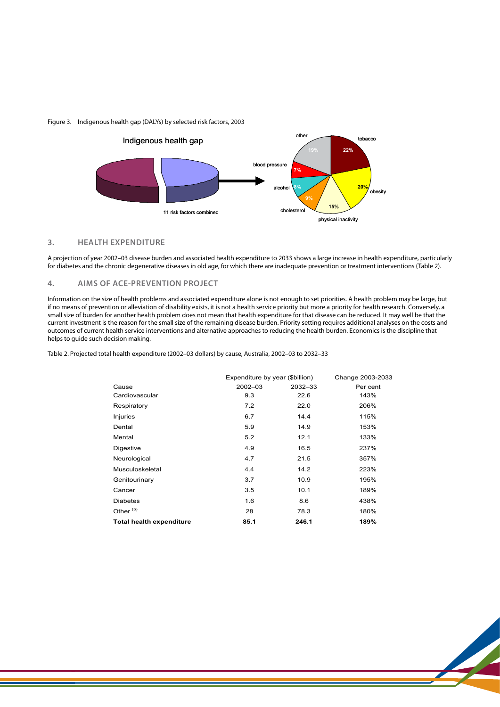#### Figure 3. Indigenous health gap (DALYs) by selected risk factors, 2003



#### **3. Health expenditure 3. Health expenditure**

A projection of year 2002-03 disease burden and associated health expenditure to 2033 shows a large increase in health expenditure, particularly for diabetes and the chronic degenerative diseases in old age, for which there are inadequate prevention or treatment interventions (Table 2).

#### 4. AIMS OF ACE-PREVENTION PROJECT

Information on the size of health problems and associated expenditure alone is not enough to set priorities. A health problem may be large, but if no means of prevention or alleviation of disability exists, it is not a health service priority but more a priority for health research. Conversely, a a no means or prevention or alleviation or disability exists, it is not a health service phonty but more a phonty for health esearch. Conversely, a<br>small size of burden for another health problem does not mean that health current investment is the reason for the small size of the remaining disease burden. Priority setting requires additional analyses on the costs and outcomes of current health service interventions and alternative approaches to reducing the health burden. Economics is the discipline that<br>helps to suide such desision melsing helps to guide such decision making. alleviation making.  $\Xi$ conomics is the discipline that helps to guide such decision-making.

Table 2. Projected total health expenditure (2002–03 dollars) by cause, Australia, 2002–03 to 2032–33

|                                 | Expenditure by year (\$billion) |         | Change 2003-2033 |  |
|---------------------------------|---------------------------------|---------|------------------|--|
| Cause                           | 2002-03                         | 2032-33 | Per cent         |  |
| Cardiovascular                  | 9.3                             | 22.6    | 143%             |  |
| Respiratory                     | 7.2                             | 22.0    | 206%             |  |
| Injuries                        | 6.7                             | 14.4    | 115%             |  |
| Dental                          | 5.9                             | 14.9    | 153%             |  |
| Mental                          | 5.2                             | 12.1    | 133%             |  |
| Digestive                       | 4.9                             | 16.5    | 237%             |  |
| Neurological                    | 4.7                             | 21.5    | 357%             |  |
| Musculoskeletal                 | 4.4                             | 14.2    | 223%             |  |
| Genitourinary                   | 3.7                             | 10.9    | 195%             |  |
| Cancer                          | 3.5                             | 10.1    | 189%             |  |
| <b>Diabetes</b>                 | 1.6                             | 8.6     | 438%             |  |
| Other <sup>(b)</sup>            | 28                              | 78.3    | 180%             |  |
| <b>Total health expenditure</b> | 85.1                            | 246.1   | 189%             |  |

preventive interventions compared to a selected, smaller number of curative and infectious disease control interventions ranked in order of their economic merit. Within topic areas (e.g. diabetes prevention or reduction of the harm from alcohol)